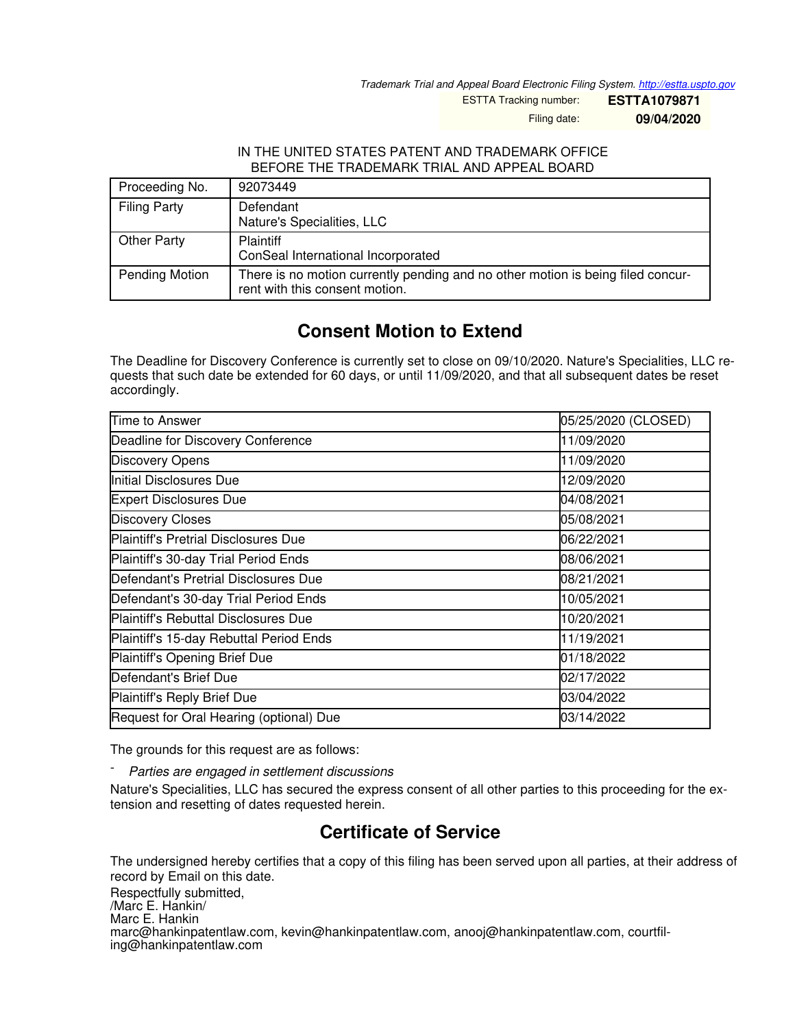*Trademark Trial and Appeal Board Electronic Filing System. <http://estta.uspto.gov>*

ESTTA Tracking number: **ESTTA1079871**

Filing date: **09/04/2020**

## IN THE UNITED STATES PATENT AND TRADEMARK OFFICE BEFORE THE TRADEMARK TRIAL AND APPEAL BOARD

| Proceeding No.      | 92073449                                                                                                          |
|---------------------|-------------------------------------------------------------------------------------------------------------------|
| <b>Filing Party</b> | Defendant<br>Nature's Specialities, LLC                                                                           |
| Other Party         | <b>Plaintiff</b><br>ConSeal International Incorporated                                                            |
| Pending Motion      | There is no motion currently pending and no other motion is being filed concur-<br>rent with this consent motion. |

## **Consent Motion to Extend**

The Deadline for Discovery Conference is currently set to close on 09/10/2020. Nature's Specialities, LLC requests that such date be extended for 60 days, or until 11/09/2020, and that all subsequent dates be reset accordingly.

| Time to Answer                              | 05/25/2020 (CLOSED) |
|---------------------------------------------|---------------------|
| Deadline for Discovery Conference           | 11/09/2020          |
| <b>Discovery Opens</b>                      | 11/09/2020          |
| Initial Disclosures Due                     | 12/09/2020          |
| <b>Expert Disclosures Due</b>               | 04/08/2021          |
| <b>Discovery Closes</b>                     | 05/08/2021          |
| <b>Plaintiff's Pretrial Disclosures Due</b> | 06/22/2021          |
| Plaintiff's 30-day Trial Period Ends        | 08/06/2021          |
| Defendant's Pretrial Disclosures Due        | 08/21/2021          |
| Defendant's 30-day Trial Period Ends        | 10/05/2021          |
| <b>Plaintiff's Rebuttal Disclosures Due</b> | 10/20/2021          |
| Plaintiff's 15-day Rebuttal Period Ends     | 11/19/2021          |
| Plaintiff's Opening Brief Due               | 01/18/2022          |
| Defendant's Brief Due                       | 02/17/2022          |
| Plaintiff's Reply Brief Due                 | 03/04/2022          |
| Request for Oral Hearing (optional) Due     | 03/14/2022          |

The grounds for this request are as follows:

- *Parties are engaged in settlement discussions*

Nature's Specialities, LLC has secured the express consent of all other parties to this proceeding for the extension and resetting of dates requested herein.

## **Certificate of Service**

The undersigned hereby certifies that a copy of this filing has been served upon all parties, at their address of record by Email on this date.

Respectfully submitted,

/Marc E. Hankin/

Marc E. Hankin

marc@hankinpatentlaw.com, kevin@hankinpatentlaw.com, anooj@hankinpatentlaw.com, courtfiling@hankinpatentlaw.com